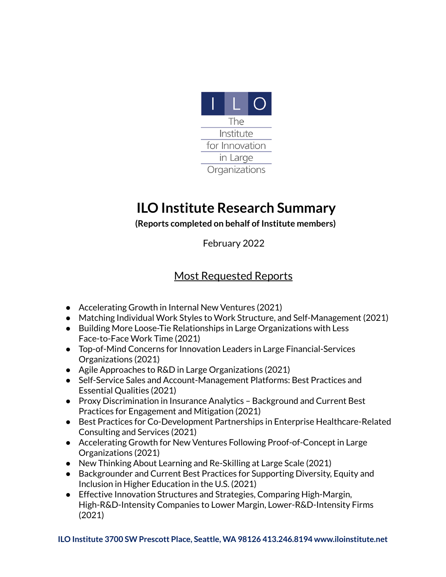

## **ILO Institute Research Summary**

## **(Reports completed on behalf of Institute members)**

February 2022

## Most Requested Reports

- Accelerating Growth in Internal New Ventures (2021)
- Matching Individual Work Styles to Work Structure, and Self-Management (2021)
- Building More Loose-Tie Relationships in Large Organizations with Less Face-to-Face Work Time (2021)
- Top-of-Mind Concerns for Innovation Leaders in Large Financial-Services Organizations (2021)
- Agile Approaches to R&D in Large Organizations (2021)
- Self-Service Sales and Account-Management Platforms: Best Practices and Essential Qualities (2021)
- Proxy Discrimination in Insurance Analytics Background and Current Best Practices for Engagement and Mitigation (2021)
- Best Practices for Co-Development Partnerships in Enterprise Healthcare-Related Consulting and Services (2021)
- Accelerating Growth for New Ventures Following Proof-of-Concept in Large Organizations (2021)
- New Thinking About Learning and Re-Skilling at Large Scale (2021)
- Backgrounder and Current Best Practices for Supporting Diversity, Equity and Inclusion in Higher Education in the U.S. (2021)
- Effective Innovation Structures and Strategies, Comparing High-Margin, High-R&D-Intensity Companies to Lower Margin, Lower-R&D-Intensity Firms (2021)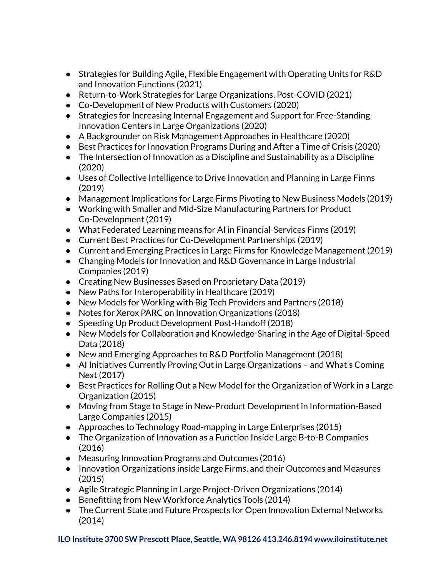- Strategies for Building Agile, Flexible Engagement with Operating Units for R&D and Innovation Functions (2021)
- Return-to-Work Strategies for Large Organizations, Post-COVID (2021)
- Co-Development of New Products with Customers (2020)
- Strategies for Increasing Internal Engagement and Support for Free-Standing Innovation Centers in Large Organizations (2020)
- A Backgrounder on Risk Management Approaches in Healthcare (2020)
- Best Practices for Innovation Programs During and After a Time of Crisis (2020)
- The Intersection of Innovation as a Discipline and Sustainability as a Discipline (2020)
- Uses of Collective Intelligence to Drive Innovation and Planning in Large Firms (2019)
- Management Implications for Large Firms Pivoting to New Business Models (2019)
- Working with Smaller and Mid-Size Manufacturing Partners for Product Co-Development (2019)
- What Federated Learning means for AI in Financial-Services Firms (2019)
- Current Best Practices for Co-Development Partnerships (2019)
- Current and Emerging Practices in Large Firms for Knowledge Management (2019)
- Changing Models for Innovation and R&D Governance in Large Industrial Companies (2019)
- Creating New Businesses Based on Proprietary Data (2019)
- New Paths for Interoperability in Healthcare (2019)
- New Models for Working with Big Tech Providers and Partners (2018)
- Notes for Xerox PARC on Innovation Organizations (2018)
- Speeding Up Product Development Post-Handoff (2018)
- New Models for Collaboration and Knowledge-Sharing in the Age of Digital-Speed Data (2018)
- New and Emerging Approaches to R&D Portfolio Management (2018)
- AI Initiatives Currently Proving Out in Large Organizations and What's Coming Next (2017)
- Best Practices for Rolling Out a New Model for the Organization of Work in a Large Organization (2015)
- Moving from Stage to Stage in New-Product Development in Information-Based Large Companies (2015)
- Approaches to Technology Road-mapping in Large Enterprises (2015)
- The Organization of Innovation as a Function Inside Large B-to-B Companies (2016)
- Measuring Innovation Programs and Outcomes (2016)
- Innovation Organizations inside Large Firms, and their Outcomes and Measures (2015)
- Agile Strategic Planning in Large Project-Driven Organizations (2014)
- Benefitting from New Workforce Analytics Tools (2014)
- The Current State and Future Prospects for Open Innovation External Networks (2014)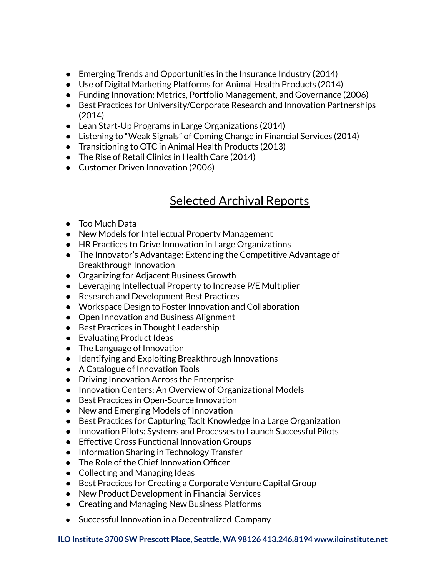- Emerging Trends and Opportunities in the Insurance Industry (2014)
- Use of Digital Marketing Platforms for Animal Health Products (2014)
- Funding Innovation: Metrics, Portfolio Management, and Governance (2006)
- Best Practices for University/Corporate Research and Innovation Partnerships (2014)
- Lean Start-Up Programs in Large Organizations (2014)
- Listening to "Weak Signals" of Coming Change in Financial Services (2014)
- Transitioning to OTC in Animal Health Products (2013)
- The Rise of Retail Clinics in Health Care (2014)
- Customer Driven Innovation (2006)

## Selected Archival Reports

- Too Much Data
- New Models for Intellectual Property Management
- HR Practices to Drive Innovation in Large Organizations
- The Innovator's Advantage: Extending the Competitive Advantage of Breakthrough Innovation
- Organizing for Adjacent Business Growth
- Leveraging Intellectual Property to Increase P/E Multiplier
- Research and Development Best Practices
- Workspace Design to Foster Innovation and Collaboration
- Open Innovation and Business Alignment
- Best Practices in Thought Leadership
- Evaluating Product Ideas
- The Language of Innovation
- Identifying and Exploiting Breakthrough Innovations
- A Catalogue of Innovation Tools
- Driving Innovation Across the Enterprise
- Innovation Centers: An Overview of Organizational Models
- Best Practices in Open-Source Innovation
- New and Emerging Models of Innovation
- Best Practices for Capturing Tacit Knowledge in a Large Organization
- Innovation Pilots: Systems and Processes to Launch Successful Pilots
- Effective Cross Functional Innovation Groups
- Information Sharing in Technology Transfer
- The Role of the Chief Innovation Officer
- Collecting and Managing Ideas
- Best Practices for Creating a Corporate Venture Capital Group
- New Product Development in Financial Services
- Creating and Managing New Business Platforms
- Successful Innovation in a Decentralized Company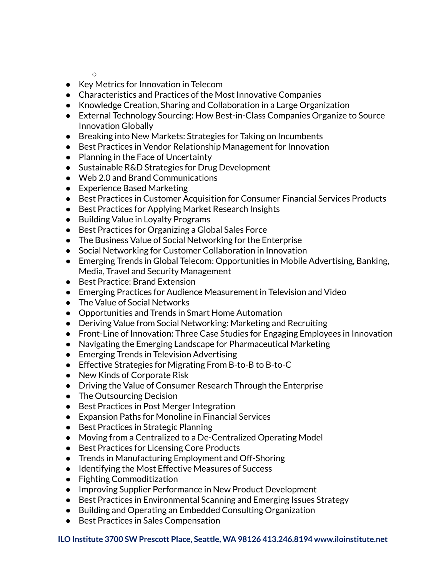$\bigcap$ 

- Key Metrics for Innovation in Telecom
- Characteristics and Practices of the Most Innovative Companies
- Knowledge Creation, Sharing and Collaboration in a Large Organization
- External Technology Sourcing: How Best-in-Class Companies Organize to Source Innovation Globally
- Breaking into New Markets: Strategies for Taking on Incumbents
- Best Practices in Vendor Relationship Management for Innovation
- Planning in the Face of Uncertainty
- Sustainable R&D Strategies for Drug Development
- Web 2.0 and Brand Communications
- Experience Based Marketing
- Best Practices in Customer Acquisition for Consumer Financial Services Products
- Best Practices for Applying Market Research Insights
- Building Value in Loyalty Programs
- Best Practices for Organizing a Global Sales Force
- The Business Value of Social Networking for the Enterprise
- Social Networking for Customer Collaboration in Innovation
- Emerging Trends in Global Telecom: Opportunities in Mobile Advertising, Banking, Media, Travel and Security Management
- Best Practice: Brand Extension
- Emerging Practices for Audience Measurement in Television and Video
- The Value of Social Networks
- Opportunities and Trends in Smart Home Automation
- Deriving Value from Social Networking: Marketing and Recruiting
- Front-Line of Innovation: Three Case Studies for Engaging Employees in Innovation
- Navigating the Emerging Landscape for Pharmaceutical Marketing
- Emerging Trends in Television Advertising
- Effective Strategies for Migrating From B-to-B to B-to-C
- New Kinds of Corporate Risk
- Driving the Value of Consumer Research Through the Enterprise
- The Outsourcing Decision
- Best Practices in Post Merger Integration
- Expansion Paths for Monoline in Financial Services
- Best Practices in Strategic Planning
- Moving from a Centralized to a De-Centralized Operating Model
- Best Practices for Licensing Core Products
- Trends in Manufacturing Employment and Off-Shoring
- Identifying the Most Effective Measures of Success
- Fighting Commoditization
- Improving Supplier Performance in New Product Development
- Best Practices in Environmental Scanning and Emerging Issues Strategy
- Building and Operating an Embedded Consulting Organization
- Best Practices in Sales Compensation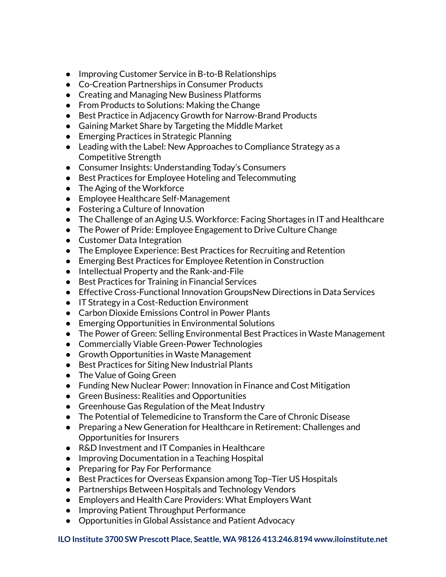- Improving Customer Service in B-to-B Relationships
- Co-Creation Partnerships in Consumer Products
- Creating and Managing New Business Platforms
- From Products to Solutions: Making the Change
- Best Practice in Adjacency Growth for Narrow-Brand Products
- Gaining Market Share by Targeting the Middle Market
- Emerging Practices in Strategic Planning
- Leading with the Label: New Approaches to Compliance Strategy as a Competitive Strength
- Consumer Insights: Understanding Today's Consumers
- Best Practices for Employee Hoteling and Telecommuting
- The Aging of the Workforce
- Employee Healthcare Self-Management
- Fostering a Culture of Innovation
- The Challenge of an Aging U.S. Workforce: Facing Shortages in IT and Healthcare
- The Power of Pride: Employee Engagement to Drive Culture Change
- Customer Data Integration
- The Employee Experience: Best Practices for Recruiting and Retention
- Emerging Best Practices for Employee Retention in Construction
- Intellectual Property and the Rank-and-File
- Best Practices for Training in Financial Services
- Effective Cross-Functional Innovation GroupsNew Directions in Data Services
- IT Strategy in a Cost-Reduction Environment
- Carbon Dioxide Emissions Control in Power Plants
- Emerging Opportunities in Environmental Solutions
- The Power of Green: Selling Environmental Best Practices in Waste Management
- Commercially Viable Green-Power Technologies
- Growth Opportunities in Waste Management
- Best Practices for Siting New Industrial Plants
- The Value of Going Green
- Funding New Nuclear Power: Innovation in Finance and Cost Mitigation
- Green Business: Realities and Opportunities
- Greenhouse Gas Regulation of the Meat Industry
- The Potential of Telemedicine to Transform the Care of Chronic Disease
- Preparing a New Generation for Healthcare in Retirement: Challenges and Opportunities for Insurers
- R&D Investment and IT Companies in Healthcare
- Improving Documentation in a Teaching Hospital
- Preparing for Pay For Performance
- Best Practices for Overseas Expansion among Top-Tier US Hospitals
- Partnerships Between Hospitals and Technology Vendors
- Employers and Health Care Providers: What Employers Want
- Improving Patient Throughput Performance
- Opportunities in Global Assistance and Patient Advocacy